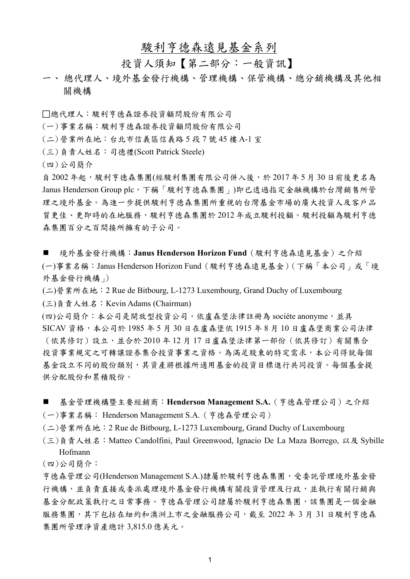# 駿利亨德森遠見基金系列

# 投資人須知【第二部分:一般資訊】

- 一、 總代理人、境外基金發行機構、管理機構、保管機構、總分銷機構及其他相 關機構
- 總代理人:駿利亨德森證券投資顧問股份有限公司
- (一)事業名稱:駿利亨德森證券投資顧問股份有限公司
- (二)營業所在地:台北市信義區信義路 5 段 7 號 45 樓 A-1 室
- (三)負責人姓名:司德禮(Scott Patrick Steele)
- (四)公司簡介

自 2002年起,廢利亨德森集團(經駿利集團有限公司併入後,於 2017年5月30日前後更名為 Janus Henderson Group plc,下稱「駿利亨德森集團」)即已透過指定金融機構於台灣銷售所管 理之境外基金。為進一步提供駿利亨德森集團所重視的台灣基金市場的廣大投資人及客戶品 質更佳、更即時的在地服務,駿利亨德森集團於2012年成立駿利投顧。駿利投顧為駿利亨德 森集團百分之百間接所擁有的子公司。

- 境外基金發行機構: Janus Henderson Horizon Fund (駿利亨德森遠見基金)之介紹 (一)事業名稱:Janus Henderson Horizon Fund(駿利亨德森遠見基金)(下稱「本公司」或「境 外基金發行機構」)
- (二)營業所在地:2 Rue de Bitbourg, L-1273 Luxembourg, Grand Duchy of Luxembourg

(三)負責人姓名:Kevin Adams (Chairman)

(四)公司簡介:本公司是開放型投資公司,依盧森堡法律註冊為 sociéte anonyme,並具 SICAV 資格,本公司於 1985 年 5 月 30 日在盧森堡依 1915 年 8 月 10 日盧森堡商業公司法律 (依其修訂)設立,並合於 2010 年 12 月 17 日盧森堡法律第一部份(依其修訂)有關集合 投資事業規定之可轉讓證券集合投資事業之資格。為滿足股東的特定需求,本公司得就每個 基金設立不同的股份類別,其資產將根據所適用基金的投資目標進行共同投資。每個基金提 供分配股份和累積股份。

- 基金管理機構暨主要經銷商:**Henderson Management S.A.**(亨德森管理公司)之介紹 (一)事業名稱: Henderson Management S.A.(亨德森管理公司)
- (二)營業所在地:2 Rue de Bitbourg, L-1273 Luxembourg, Grand Duchy of Luxembourg
- (三)負責人姓名:Matteo Candolfini, Paul Greenwood, Ignacio De La Maza Borrego, 以及 Sybille Hofmann

(四)公司簡介:

亨德森管理公司(Henderson Management S.A.)隸屬於駿利亨德森集團,受委託管理境外基金發 行機構,並負責直接或委派處理境外基金發行機構有關投資管理及行政,並執行有關行銷與 基金分配政策執行之日常事務。亨德森管理公司隸屬於駿利亨德森集團,該集團是一個金融 服務集團,其下包括在紐約和澳洲上市之金融服務公司,截至 2022 年 3 月 31 日駿利亨德森 集團所管理淨資產總計 3,815.0 億美元。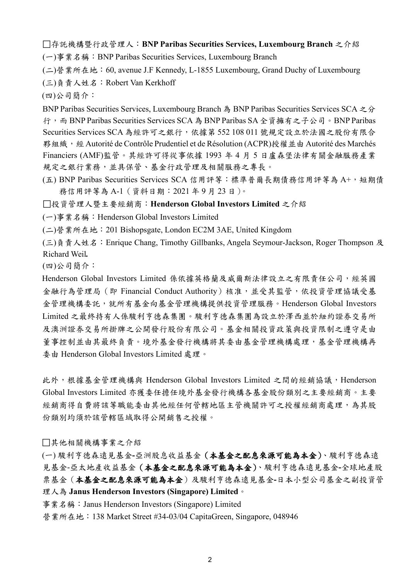存託機構暨行政管理人:**BNP Paribas Securities Services, Luxembourg Branch** 之介紹

(一)事業名稱:BNP Paribas Securities Services, Luxembourg Branch

(二)營業所在地:60, avenue J.F Kennedy, L-1855 Luxembourg, Grand Duchy of Luxembourg

(三)負責人姓名:Robert Van Kerkhoff

(四)公司簡介:

BNP Paribas Securities Services, Luxembourg Branch 為 BNP Paribas Securities Services SCA 之分 行,而 BNP Paribas Securities Services SCA 為 BNP Paribas SA 全資擁有之子公司。BNP Paribas Securities Services SCA 為經許可之銀行,依據第 552 108 011 號規定設立於法國之股份有限合 夥組織,經 Autorité de Contrôle Prudentiel et de Résolution (ACPR)授權並由 Autorité des Marchés Financiers (AMF)監管。其經許可得從事依據 1993 年 4 月 5 日盧森堡法律有關金融服務產業 規定之銀行業務,並具保管、基金行政管理及相關服務之專長。

(五) BNP Paribas Securities Services SCA 信用評等:標準普爾長期債務信用評等為 A+,短期債 務信用評等為 A-1(資料日期:2021 年 9 月 23 日)。

投資管理人暨主要經銷商:**Henderson Global Investors Limited** 之介紹

(一)事業名稱:Henderson Global Investors Limited

(二)營業所在地:201 Bishopsgate, London EC2M 3AE, United Kingdom

(三)負責人姓名:Enrique Chang, Timothy Gillbanks, Angela Seymour-Jackson, Roger Thompson 及 Richard Weil*.*

(四)公司簡介:

Henderson Global Investors Limited 係依據英格蘭及威爾斯法律設立之有限責任公司,經英國 金融行為管理局(即 Financial Conduct Authority)核准,並受其監管,依投資管理協議受基 金管理機構委託,就所有基金向基金管理機構提供投資管理服務。Henderson Global Investors Limited 之最終持有人係駿利亨德森集團。駿利亨德森集團為設立於澤西並於紐約證券交易所 及澳洲證券交易所掛牌之公開發行股份有限公司。基金相關投資政策與投資限制之遵守是由 董事控制並由其最終負責。境外基金發行機構將其委由基金管理機構處理,基金管理機構再 委由 Henderson Global Investors Limited 處理。

此外,根據基金管理機構與 Henderson Global Investors Limited 之間的經銷協議,Henderson Global Investors Limited 亦獲委任擔任境外基金發行機構各基金股份類別之主要經銷商。主要 經銷商得自費將該等職能委由其他經任何管轄地區主管機關許可之授權經銷商處理,為其股 份類別均須於該管轄區域取得公開銷售之授權。

其他相關機構事業之介紹

(一) 駿利亨德森遠見基金**-**亞洲股息收益基金(本基金之配息來源可能為本金)、駿利亨德森遠 見基金-亞太地產收益基金(本基金之配息來源可能為本金)、駿利亨德森遠見基金**-**全球地產股 票基金(本基金之配息來源可能為本金)及駿利亨德森遠見基金**-**日本小型公司基金之副投資管 理人為 **Janus Henderson Investors (Singapore) Limited**。

事業名稱: Janus Henderson Investors (Singapore) Limited

營業所在地: 138 Market Street #34-03/04 CapitaGreen, Singapore, 048946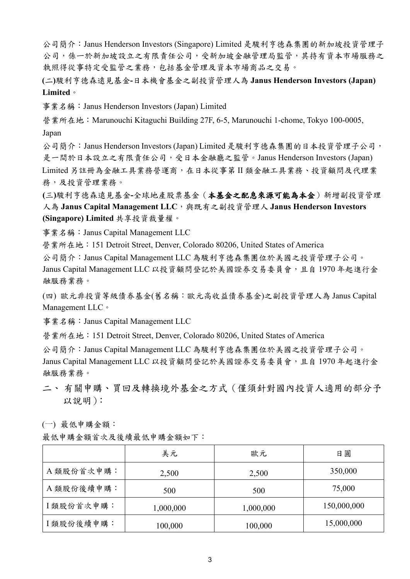公司簡介:Janus Henderson Investors (Singapore) Limited 是駿利亨德森集團的新加坡投資管理子 公司,係一於新加坡設立之有限責任公司,受新加坡金融管理局監管,其持有資本市場服務之 執照得從事特定受監管之業務,包括基金管理及資本市場商品之交易。

**(**二**)**駿利亨德森遠見基金**-**日本機會基金之副投資管理人為 **Janus Henderson Investors (Japan) Limited**。

事業名稱: Janus Henderson Investors (Japan) Limited

營業所在地: Marunouchi Kitaguchi Building 27F, 6-5, Marunouchi 1-chome, Tokyo 100-0005, Japan

公司簡介:Janus Henderson Investors (Japan) Limited 是駿利亨德森集團的日本投資管理子公司, 是一間於日本設立之有限責任公司,受日本金融廳之監管。Janus Henderson Investors (Japan) Limited 另註冊為金融工具業務營運商,在日本從事第 II 類金融工具業務、投資顧問及代理業 務,及投資管理業務。

**(**三**)**駿利亨德森遠見基金**-**全球地產股票基金(本基金之配息來源可能為本金)新增副投資管理 人為 Janus Capital Management LLC, 與既有之副投資管理人 Janus Henderson Investors **(Singapore) Limited** 共享投資裁量權。

事業名稱:Janus Capital Management LLC

營業所在地:151 Detroit Street, Denver, Colorado 80206, United States of America

公司簡介:Janus Capital Management LLC 為駿利亨德森集團位於美國之投資管理子公司。 Janus Capital Management LLC 以投資顧問登記於美國證券交易委員會,且自 1970年起進行金 融服務業務。

(四) 歐元非投資等級債券基金(舊名稱:歐元高收益債券基金)之副投資管理人為 Janus Capital Management LLC。

事業名稱:Janus Capital Management LLC

營業所在地:151 Detroit Street, Denver, Colorado 80206, United States of America

公司簡介:Janus Capital Management LLC 為駿利亨德森集團位於美國之投資管理子公司。 Janus Capital Management LLC 以投資顧問登記於美國證券交易委員會,且自 1970年起進行金 融服務業務。

二、有關申購、買回及轉換境外基金之方式(僅須針對國內投資人適用的部分予 以說明):

(一) 最低申購金額:

|            | 美元        | 歐元        | 日圓          |
|------------|-----------|-----------|-------------|
| A 類股份首次申購: | 2,500     | 2,500     | 350,000     |
| A 類股份後續申購: | 500       | 500       | 75,000      |
| I類股份首次申購:  | 1,000,000 | 1,000,000 | 150,000,000 |
| I類股份後續申購:  | 100,000   | 100,000   | 15,000,000  |

最低申購金額首次及後續最低申購金額如下: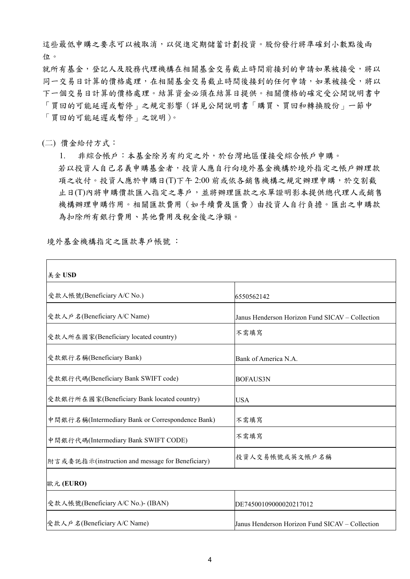這些最低申購之要求可以被取消,以促進定期儲蓄計劃投資。股份發行將準確到小數點後兩 位。

就所有基金,登記人及股務代理機構在相關基金交易截止時間前接到的申請如果被接受,將以 同一交易日計算的價格處理,在相關基金交易截止時間後接到的任何申請,如果被接受,將以 下一個交易日計算的價格處理。結算資金必須在結算日提供。相關價格的確定受公開說明書中 「買回的可能延遲或暫停」之規定影響(詳見公開說明書「購買、買回和轉換股份」一節中 「買回的可能延遲或暫停」之說明)。

(二) 價金給付方式:

1. 非綜合帳戶:本基金除另有約定之外,於台灣地區僅接受綜合帳戶申購。 若以投資人自己名義申購基金者,投資人應自行向境外基金機構於境外指定之帳戶辦理款 項之收付。投資人應於申購日(T)下午 2:00 前或依各銷售機構之規定辦理申購,於交割截 止日(T)內將申購價款匯入指定之專戶,並將辦理匯款之水單證明影本提供總代理人或銷售 機構辦理申購作用。相關匯款費用(如手續費及匯費)由投資人自行負擔。匯出之申購款 為扣除所有銀行費用、其他費用及稅金後之淨額。

境外基金機構指定之匯款專戶帳號 :

| 美金 USD                                           |                                                 |  |
|--------------------------------------------------|-------------------------------------------------|--|
| 受款人帳號(Beneficiary A/C No.)                       | 6550562142                                      |  |
| 受款人户名(Beneficiary A/C Name)                      | Janus Henderson Horizon Fund SICAV - Collection |  |
| 受款人所在國家(Beneficiary located country)             | 不需填寫                                            |  |
| 受款銀行名稱(Beneficiary Bank)                         | Bank of America N.A.                            |  |
| 受款銀行代碼(Beneficiary Bank SWIFT code)              | <b>BOFAUS3N</b>                                 |  |
| 受款銀行所在國家(Beneficiary Bank located country)       | <b>USA</b>                                      |  |
| 中間銀行名稱(Intermediary Bank or Correspondence Bank) | 不需填寫                                            |  |
| 中間銀行代碼(Intermediary Bank SWIFT CODE)             | 不需填寫                                            |  |
| 附言或委託指示(instruction and message for Beneficiary) | 投資人交易帳號或英文帳戶名稱                                  |  |
| 歐元 (EURO)                                        |                                                 |  |
| 受款人帳號(Beneficiary A/C No.)- (IBAN)               | DE74500109000020217012                          |  |
| 受款人户名(Beneficiary A/C Name)                      | Janus Henderson Horizon Fund SICAV - Collection |  |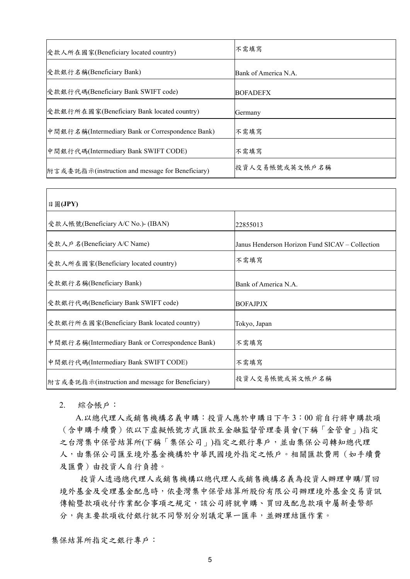| 受款人所在國家(Beneficiary located country)             | 不需填寫                 |  |
|--------------------------------------------------|----------------------|--|
| 受款銀行名稱(Beneficiary Bank)                         | Bank of America N.A. |  |
| 受款銀行代碼(Beneficiary Bank SWIFT code)              | <b>BOFADEFX</b>      |  |
| 受款銀行所在國家(Beneficiary Bank located country)       | Germany              |  |
| 中間銀行名稱(Intermediary Bank or Correspondence Bank) | 不需填寫                 |  |
| 中間銀行代碼(Intermediary Bank SWIFT CODE)             | 不需填寫                 |  |
| 附言或委託指示(instruction and message for Beneficiary) | 投資人交易帳號或英文帳戶名稱       |  |

| 日圓(JPY)                                          |                                                 |
|--------------------------------------------------|-------------------------------------------------|
| 受款人帳號(Beneficiary A/C No.)- (IBAN)               | 22855013                                        |
| 受款人户名(Beneficiary A/C Name)                      | Janus Henderson Horizon Fund SICAV – Collection |
| 受款人所在國家(Beneficiary located country)             | 不需填寫                                            |
| 受款銀行名稱(Beneficiary Bank)                         | Bank of America N.A.                            |
| 受款銀行代碼(Beneficiary Bank SWIFT code)              | <b>BOFAJPJX</b>                                 |
| 受款銀行所在國家(Beneficiary Bank located country)       | Tokyo, Japan                                    |
| 中間銀行名稱(Intermediary Bank or Correspondence Bank) | 不需填寫                                            |
| 中間銀行代碼(Intermediary Bank SWIFT CODE)             | 不需填寫                                            |
| 附言或委託指示(instruction and message for Beneficiary) | 投資人交易帳號或英文帳戶名稱                                  |

2. 綜合帳戶:

A.以總代理人或銷售機構名義申購:投資人應於申購日下午 3:00 前自行將申購款項 (含申購手續費)依以下虛擬帳號方式匯款至金融監督管理委員會(下稱「金管會」)指定 之台灣集中保管結算所(下稱「集保公司」)指定之銀行專戶,並由集保公司轉知總代理 人,由集保公司匯至境外基金機構於中華民國境外指定之帳戶。相關匯款費用(如手續費 及匯費)由投資人自行負擔。

投資人透過總代理人或銷售機構以總代理人或銷售機構名義為投資人辦理申購/買回 境外基金及受理基金配息時,依臺灣集中保管結算所股份有限公司辦理境外基金交易資訊 傳輸暨款項收付作業配合事項之規定,該公司將就申購、買回及配息款項中屬新臺幣部 分,與主要款項收付銀行就不同幣別分別議定單一匯率,並辦理結匯作業。

集保結算所指定之銀行專戶: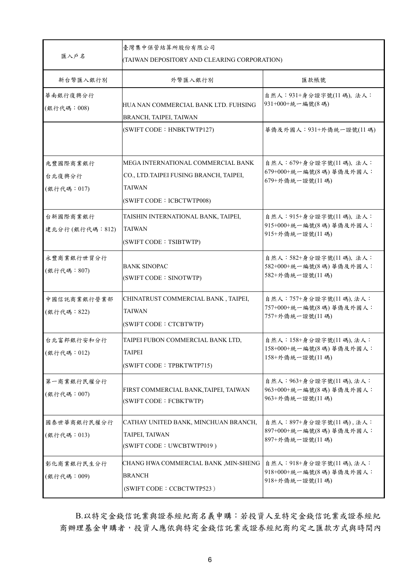| 匯入戶名                                                                                      | 臺灣集中保管結算所股份有限公司<br>(TAIWAN DEPOSITORY AND CLEARING CORPORATION)                                                            |                                                                               |  |
|-------------------------------------------------------------------------------------------|----------------------------------------------------------------------------------------------------------------------------|-------------------------------------------------------------------------------|--|
| 新台幣匯入銀行別                                                                                  | 外幣匯入銀行別                                                                                                                    | 匯款帳號                                                                          |  |
| 華南銀行復興分行<br>HUA NAN COMMERCIAL BANK LTD. FUHSING<br>(銀行代碼: 008)<br>BRANCH, TAIPEI, TAIWAN |                                                                                                                            | 自然人: 931+身分證字號(11碼), 法人:<br>931+000+統一編號(8碼)                                  |  |
|                                                                                           | (SWIFT CODE: HNBKTWTP127)                                                                                                  | 華僑及外國人:931+外僑統一證號(11碼)                                                        |  |
| 兆豐國際商業銀行<br>台北復興分行<br>(銀行代碼: 017)                                                         | MEGA INTERNATIONAL COMMERCIAL BANK<br>CO., LTD.TAIPEI FUSING BRANCH, TAIPEI,<br><b>TAIWAN</b><br>(SWIFT CODE: ICBCTWTP008) | 自然人: 679+身分證字號(11碼), 法人:<br>$679+000+$ 統一編號 $(84)$ 華僑及外國人:<br>679+外僑統一證號(11碼) |  |
| 台新國際商業銀行<br>建北分行(銀行代碼:812)                                                                | TAISHIN INTERNATIONAL BANK, TAIPEI,<br><b>TAIWAN</b><br>(SWIFT CODE: TSIBTWTP)                                             | 自然人: 915+身分證字號(11碼), 法人:<br>915+000+統一編號(8碼) 華僑及外國人:<br>915+外僑統一證號(11碼)       |  |
| 永豐商業銀行世貿分行<br>(銀行代碼: 807)                                                                 | BANK SINOPAC<br>(SWIFT CODE: SINOTWTP)                                                                                     | 自然人: 582+身分證字號(11碼), 法人:<br>582+000+統一編號(8碼) 華僑及外國人:<br>582+外僑統一證號(11碼)       |  |
| 中國信託商業銀行營業部<br>(銀行代碼: 822)                                                                | CHINATRUST COMMERCIAL BANK, TAIPEI,<br><b>TAIWAN</b><br>(SWIFT CODE: CTCBTWTP)                                             | 自然人: 757+身分證字號(11碼), 法人:<br>757+000+統一編號(8碼)華僑及外國人:<br>757+外僑統一證號(11碼)        |  |
| 台北富邦銀行安和分行<br>(銀行代碼: 012)                                                                 | TAIPEI FUBON COMMERCIAL BANK LTD,<br>TAIPEI<br>(SWIFT CODE: TPBKTWTP715)                                                   | 自然人: 158+身分證字號(11碼), 法人:<br>$158+000$ +統一編號 $(84)$ 華僑及外國人:<br>158+外僑統一證號(11碼) |  |
| 第一商業銀行民權分行<br>(銀行代碼: 007)                                                                 | FIRST COMMERCIAL BANK, TAIPEI, TAIWAN<br>(SWIFT CODE: FCBKTWTP)                                                            | 自然人: 963+身分證字號(11碼), 法人:<br>$963+000$ +統一編號(8碼) 華僑及外國人:<br>963+外僑統一證號(11碼)    |  |
| 國泰世華商銀行民權分行<br>(銀行代碼: 013)                                                                | CATHAY UNITED BANK, MINCHUAN BRANCH,<br>TAIPEI, TAIWAN<br>(SWIFT CODE: UWCBTWTP019)                                        | 自然人: 897+身分證字號(11碼), 法人:<br>897+000+統一編號(8碼)華僑及外國人:<br>897+外僑統一證號(11碼)        |  |
| 彰化商業銀行民生分行<br>(銀行代碼: 009)                                                                 | CHANG HWA COMMERCIAL BANK , MIN-SHENG<br><b>BRANCH</b><br>(SWIFT CODE: CCBCTWTP523)                                        | 自然人:918+身分證字號(11碼),法人:<br>$918+000$ +統一編號(8碼) 華僑及外國人:<br>918+外僑統一證號(11碼)      |  |

B.以特定金錢信託業與證券經紀商名義申購:若投資人至特定金錢信託業或證券經紀 商辦理基金申購者,投資人應依與特定金錢信託業或證券經紀商約定之匯款方式與時間內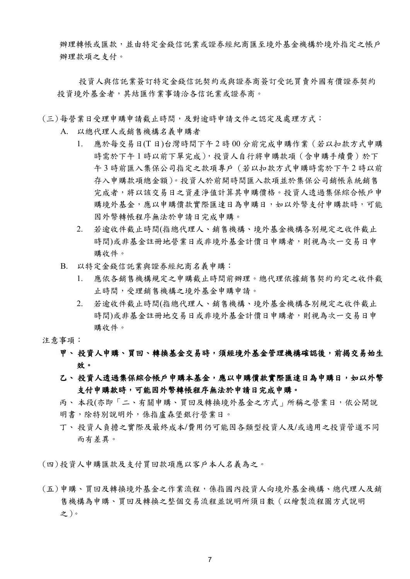辦理轉帳或匯款,並由特定金錢信託業或證券經紀商匯至境外基金機構於境外指定之帳戶 辦理款項之支付。

投資人與信託業簽訂特定金錢信託契約或與證券商簽訂受託買賣外國有價證券契約 投資境外基金者,其結匯作業事請洽各信託業或證券商。

- (三) 每營業日受理申購申請截止時間,及對逾時申請文件之認定及處理方式:
	- A. 以總代理人或銷售機構名義申購者
		- 1. 應於每交易日(T 日)台灣時間下午 2 時 00 分前完成申購作業(若以扣款方式申購 時需於下午1時以前下單完成),投資人自行將申購款項(含申購手續費)於下 午 3 時前匯入集保公司指定之款項專戶(若以扣款方式申購時需於下午 2 時以前 存入申購款項總金額)。投資人於前開時間匯入款項並於集保公司銷帳系統銷售 宗成者,將以該交易日之資產淨值計算其申購價格。投資人透過集保綜合帳戶申 購境外基金,應以申購價款實際匯達日為申購日,如以外幣支付申購款時,可能 因外幣轉帳程序無法於申請日完成申購。
		- 2. 若逾收件截止時間(指總代理人、銷售機構、境外基金機構各別規定之收件截止 時間)或非基金註冊地營業日或非境外基金計價日申購者,則視為次一交易日申 購收件。
	- B. 以特定金錢信託業與證券經紀商名義申購:
		- 1. 應依各銷售機構規定之申購截止時間前辦理。總代理依據銷售契約約定之收件截 止時間,受理銷售機構之境外基金申購申請。
		- 2. 若逾收件截止時間(指總代理人、銷售機構、境外基金機構各別規定之收件截止 時間)或非基金註冊地交易日或非境外基金計價日申購者,則視為次一交易日申 購收件。
- 注意事項:

# 甲、 投資人申購、買回、轉換基金交易時,須經境外基金管理機構確認後,前揭交易始生 效。

- 乙、 投資人透過集保綜合帳戶申購本基金,應以申購價款實際匯達日為申購日,如以外幣 支付申購款時,可能因外幣轉帳程序無法於申請日完成申購。
- 丙、本段(亦即「二、有關申購、買回及轉換境外基金之方式」所稱之營業日,依公開說 明書,除特別說明外,係指盧森堡銀行營業日。
- 丁、 投資人負擔之實際及最終成本**/**費用仍可能因各類型投資人及**/**或適用之投資管道不同 而有差異。
- (四) 投資人申購匯款及支付買回款項應以客戶本人名義為之。
- (五) 申購、買回及轉換境外基金之作業流程,係指國內投資人向境外基金機構、總代理人及銷 售機構為申購、買回及轉換之整個交易流程並說明所須日數(以繪製流程圖方式說明 之)。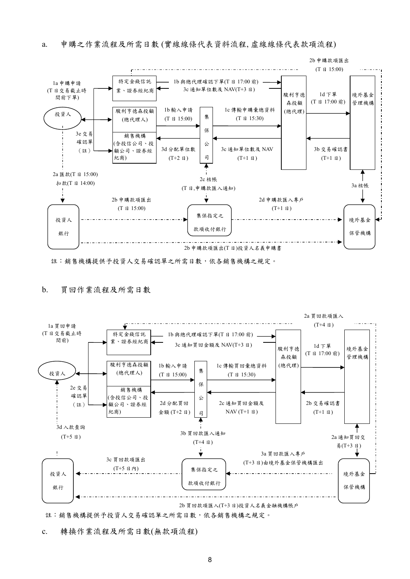

註:銷售機構提供予投資人交易確認單之所需日數,依各銷售機構之規定。

#### b. 買回作業流程及所需日數



註:銷售機構提供予投資人交易確認單之所需日數,依各銷售機構之規定。

c. 轉換作業流程及所需日數(無款項流程)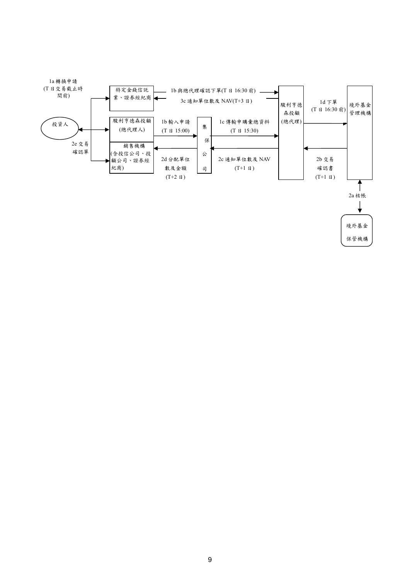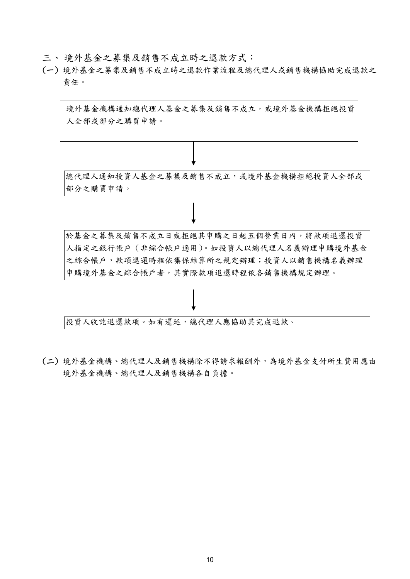- 三、 境外基金之募集及銷售不成立時之退款方式:
- (一) 境外基金之募集及銷售不成立時之退款作業流程及總代理人或銷售機構協助完成退款之 責任。



投資人收訖退還款項。如有遲延,總代理人應協助其完成退款。

(二) 境外基金機構、總代理人及銷售機構除不得請求報酬外,為境外基金支付所生費用應由 境外基金機構、總代理人及銷售機構各自負擔。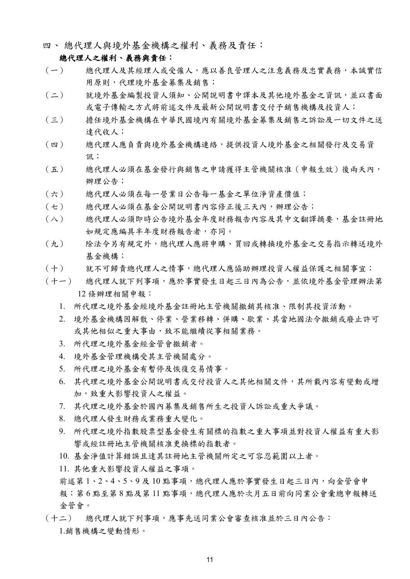四、 總代理人與境外基金機構之權利、義務及責任:

# 總代理人之權利、義務與責任:

- (一) 總代理人及其經理人或受僱人,應以善良管理人之注意義務及忠實義務,本誠實信 用原則,代理境外基金募集及銷售;
- (二) 就境外基金編製投資人須知、公開說明書中譯本及其他境外基金之資訊,並以書面 或電子傳輸之方式將前述文件及最新公開說明書交付予銷售機構及投資人;
- (三) 擔任境外基金機構在中華民國境內有關境外基金募集及銷售之訴訟及一切文件之送 達代收人;
- (四) 總代理人應負責與境外基金機構連絡,提供投資人境外基金之相關發行及交易資 訊;
- (五) 總代理人必須在基金發行與銷售之申請獲得主管機關核准(申報生效)後兩天內, 辦理公告;
- (六) 總代理人必須在每一營業日公告每一基金之單位淨資產價值;
- (七) 總代理人必須在基金公開說明書內容修正後三天內,辦理公告;
- (八) 總代理人必須即時公告境外基金年度財務報告內容及其中文翻譯摘要,基金註冊地 如規定應編具半年度財務報告者,亦同。
- (九) 除法令另有規定外,總代理人應將申購、買回或轉換境外基金之交易指示轉送境外 基金機構;
- (十) 就不可歸責總代理人之情事,總代理人應協助辦理投資人權益保護之相關事宜;
- (十一) 總代理人就下列事項,應於事實發生日起三日內為公告,並依境外基金管理辦法第 12 條辦理相關申報:
	- 1. 所代理之境外基金經境外基金註冊地主管機關撤銷其核准、限制其投資活動。
	- 2. 境外基金機構因解散、停業、營業移轉、併購、歇業、其當地國法令撤銷或廢止許可 或其他相似之重大事由,致不能繼續從事相關業務。
	- 3. 所代理之境外基金經金管會撤銷者。
	- 4. 境外基金管理機構受其主管機關處分。
	- 5. 所代理之境外基金有暫停及恢復交易情事。
	- 6. 其代理之境外基金公開說明書或交付投資人之其他相關文件,其所載內容有變動或增 加,致重大影響投資人之權益。
	- 7. 其代理之境外基金於國內募集及銷售所生之投資人訴訟或重大爭議。
	- 8. 總代理人發生財務或業務重大變化。
	- 9. 所代理之境外指數股票型基金發生有關標的指數之重大事項並對投資人權益有重大影 響或經註冊地主管機關核准更換標的指數者。
	- 10. 基金淨值計算錯誤且達其註冊地主管機關所定之可容忍範圍以上者。
	- 11. 其他重大影響投資人權益之事項。

前述第1、2、4、5、9及10點事項,總代理人應於事實發生日起三日內,向金管會申 報;第6點至第8點及第11點事項,總代理人應於次月五日前向同業公會彙總申報轉送 金管會。

(十二) 總代理人就下列事項,應事先送同業公會審查核准並於三日內公告: 1.銷售機構之變動情形。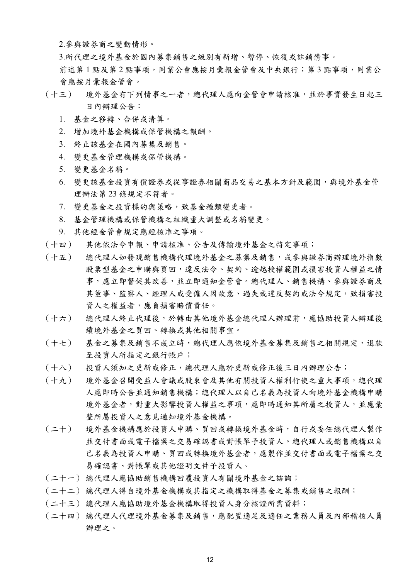2.參與證券商之變動情形。

3.所代理之境外基金於國內募集銷售之級別有新增、暫停、恢復或註銷情事。

前述第1點及第2點事項,同業公會應按月彙報金管會及中央銀行;第3點事項,同業公 會應按月彙報金管會。

- (十三) 境外基金有下列情事之一者,總代理人應向金管會申請核准,並於事實發生日起三 日內辦理公告:
	- 1. 基金之移轉、合併或清算。
	- 2. 增加境外基金機構或保管機構之報酬。
	- 3. 終止該基金在國內募集及銷售。
	- 4. 變更基金管理機構或保管機構。
	- 5. 變更基金名稱。
	- 6. 變更該基金投資有價證券或從事證券相關商品交易之基本方針及範圍,與境外基金管 理辦法第 23 條規定不符者。
	- 7. 變更基金之投資標的與策略,致基金種類變更者。
	- 8. 基金管理機構或保管機構之組織重大調整或名稱變更。
	- 9. 其他經金管會規定應經核准之事項。
- (十四) 其他依法令申報、申請核准、公告及傳輸境外基金之特定事項;
- (十五) 總代理人如發現銷售機構代理境外基金之募集及銷售,或參與證券商辦理境外指數 股票型基金之申購與買回,違反法令、契約、逾越授權範圍或損害投資人權益之情 事,應立即督促其改善,並立即通知金管會。總代理人、銷售機構、參與證券商及 其董事、監察人、經理人或受僱人因故意、過失或違反契約或法令規定,致損害投 資人之權益者,應負損害賠償責任。
- (十六) 總代理人終止代理後,於轉由其他境外基金總代理人辦理前,應協助投資人辦理後 續境外基金之買回、轉換或其他相關事宜。
- (十七) 基金之募集及銷售不成立時,總代理人應依境外基金募集及銷售之相關規定,退款 至投資人所指定之銀行帳戶;
- (十八) 投資人須知之更新或修正,總代理人應於更新或修正後三日內辦理公告;
- (十九) 境外基金召開受益人會議或股東會及其他有關投資人權利行使之重大事項,總代理 人應即時公告並通知銷售機構;總代理人以自己名義為投資人向境外基金機構申購 境外基金者,對重大影響投資人權益之事項,應即時通知其所屬之投資人,並應彙 整所屬投資人之意見通知境外基金機構。
- (二十) 境外基金機構應於投資人申購、買回或轉換境外基金時,自行或委任總代理人製作 並交付書面或電子檔案之交易確認書或對帳單予投資人。總代理人或銷售機構以自 己名義為投資人申購、買回或轉換境外基金者,應製作並交付書面或電子檔案之交 易確認書、對帳單或其他證明文件予投資人。
- (二十一) 總代理人應協助銷售機構回覆投資人有關境外基金之諮詢;
- (二十二) 總代理人得自境外基金機構或其指定之機構取得基金之募集或銷售之報酬;
- (二十三) 總代理人應協助境外基金機構取得投資人身分核證所需資料;
- (二十四) 總代理人代理境外基金募集及銷售,應配置適足及適任之業務人員及內部稽核人員 辦理之。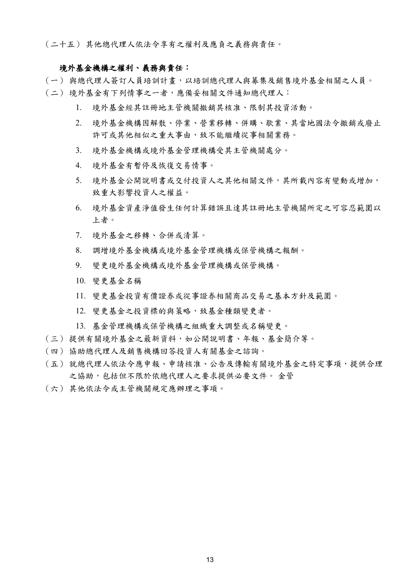(二十五) 其他總代理人依法令享有之權利及應負之義務與責任。

# 境外基金機構之權利、義務與責任:

- (一) 與總代理人簽訂人員培訓計畫,以培訓總代理人與募集及銷售境外基金相關之人員。
- (二) 境外基金有下列情事之一者,應備妥相關文件通知總代理人:
	- 1. 境外基金經其註冊地主管機關撤銷其核准、限制其投資活動。
	- 2. 境外基金機構因解散、停業、營業移轉、併購、歇業、其當地國法令撤銷或廢止 許可或其他相似之重大事由,致不能繼續從事相關業務。
	- 3. 境外基金機構或境外基金管理機構受其主管機關處分。
	- 4. 境外基金有暫停及恢復交易情事。
	- 5. 境外基金公開說明書或交付投資人之其他相關文件,其所載內容有變動或增加, 致重大影響投資人之權益。
	- 6. 境外基金資產淨值發生任何計算錯誤且達其註冊地主管機關所定之可容忍範圍以 上者。
	- 7. 境外基金之移轉、合併或清算。
	- 8. 調增境外基金機構或境外基金管理機構或保管機構之報酬。
	- 9. 變更境外基金機構或境外基金管理機構或保管機構。
	- 10. 變更基金名稱
	- 11. 變更基金投資有價證券或從事證券相關商品交易之基本方針及範圍。
	- 12. 變更基金之投資標的與策略,致基金種類變更者。
	- 13. 基金管理機構或保管機構之組織重大調整或名稱變更。
- (三) 提供有關境外基金之最新資料,如公開說明書、年報、基金簡介等。
- (四) 協助總代理人及銷售機構回答投資人有關基金之諮詢。
- (五) 就總代理人依法令應申報、申請核准、公告及傳輸有關境外基金之特定事項,提供合理 之協助,包括但不限於依總代理人之要求提供必要文件。 金管
- (六) 其他依法令或主管機關規定應辦理之事項。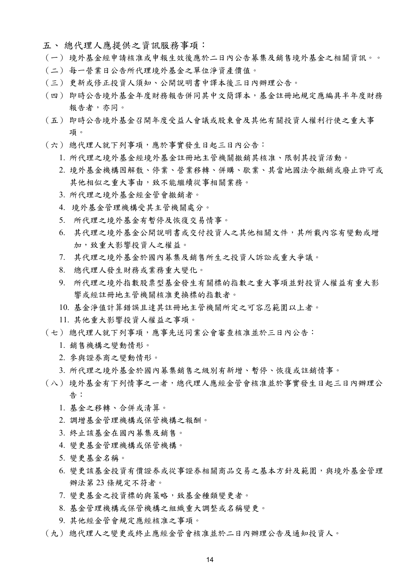- 五、 總代理人應提供之資訊服務事項:
- (一) 境外基金經申請核准或申報生效後應於二日內公告募集及銷售境外基金之相關資訊。。
- (二) 每一營業日公告所代理境外基金之單位淨資產價值。
- (三) 更新或修正投資人須知、公開說明書中譯本後三日內辦理公告。
- (四) 即時公告境外基金年度財務報告併同其中文簡譯本,基金註冊地規定應編具半年度財務 報告者,亦同。
- (五) 即時公告境外基金召開年度受益人會議或股東會及其他有關投資人權利行使之重大事 項。
- (六) 總代理人就下列事項,應於事實發生日起三日內公告:
	- 1. 所代理之境外基金經境外基金註冊地主管機關撤銷其核准、限制其投資活動。
	- 2. 境外基金機構因解散、停業、營業移轉、併購、歇業、其當地國法令撤銷或廢止許可或 其他相似之重大事由,致不能繼續從事相關業務。
	- 3. 所代理之境外基金經金管會撤銷者。
	- 4. 境外基金管理機構受其主管機關處分。
	- 5. 所代理之境外基金有暫停及恢復交易情事。
	- 6. 其代理之境外基金公開說明書或交付投資人之其他相關文件,其所載內容有變動或增 加,致重大影響投資人之權益。
	- 7. 其代理之境外基金於國內募集及銷售所生之投資人訴訟或重大爭議。
	- 8. 總代理人發生財務或業務重大變化。
	- 9. 所代理之境外指數股票型基金發生有關標的指數之重大事項並對投資人權益有重大影 響或經註冊地主管機關核准更換標的指數者。
	- 10. 基金淨值計算錯誤且達其註冊地主管機關所定之可容忍範圍以上者。
	- 11. 其他重大影響投資人權益之事項。
- (七) 總代理人就下列事項,應事先送同業公會審查核准並於三日內公告:
	- 1. 銷售機構之變動情形。
	- 2. 參與證券商之變動情形。
	- 3. 所代理之境外基金於國內募集銷售之級別有新增、暫停、恢復或註銷情事。
- (八) 境外基金有下列情事之一者,總代理人應經金管會核准並於事實發生日起三日內辦理公 告:
	- 1. 基金之移轉、合併或清算。
	- 2. 調增基金管理機構或保管機構之報酬。
	- 3. 終止該基金在國內募集及銷售。
	- 4. 變更基金管理機構或保管機構。
	- 5. 變更基金名稱。
	- 6. 變更該基金投資有價證券或從事證券相關商品交易之基本方針及範圍,與境外基金管理 辦法第 23 條規定不符者。
	- 7. 變更基金之投資標的與策略,致基金種類變更者。
	- 8. 基金管理機構或保管機構之組織重大調整或名稱變更。
	- 9. 其他經金管會規定應經核准之事項。
- (九) 總代理人之變更或終止應經金管會核准並於二日內辦理公告及通知投資人。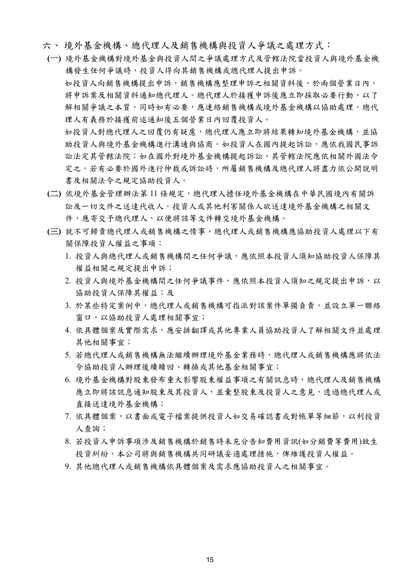- 六、 境外基金機構、總代理人及銷售機構與投資人爭議之處理方式:
- **(**一**)** 境外基金機構對境外基金與投資人間之爭議處理方式及管轄法院當投資人與境外基金機 構發生任何爭議時,投資人得向其銷售機構或總代理人提出申訴。 如投資人向銷售機構提出申訴,銷售機構應整理申訴之相關資料後,於兩個營業日內, 將申訴案及相關資料通知總代理人。總代理人於接獲申訴後應立即採取必要行動,以了 解相關爭議之本質,同時如有必要,應連絡銷售機構或境外基金機構以協助處理。總代 理人有義務於接獲前述通知後五個營業日內回覆投資人。 如投資人對總代理人之回覆仍有疑慮,總代理人應立即將結果轉知境外基金機構,並協 助投資人與境外基金機構進行溝通與協商。如投資人在國內提起訴訟,應依我國民事訴 訟法定其管轄法院;如在國外對境外基金機構提起訴訟,其管轄法院應依相關外國法令
	- 定之。若有必要於國外進行仲裁或訴訟時,所屬銷售機構及總代理人將盡力依公開說明 書及相關法令之規定協助投資人。
- **(**二**)** 依境外基金管理辦法第 11 條規定,總代理人擔任境外基金機構在中華民國境內有關訴 訟及一切文件之送達代收人。投資人或其他利害關係人欲送達境外基金機構之相關文 件,應寄交予總代理人,以便將該等文件轉交境外基金機構。
- **(**三**)** 就不可歸責總代理人或銷售機構之情事,總代理人或銷售機構應協助投資人處理以下有 關保障投資人權益之事項:
	- 1. 投資人與總代理人或銷售機構間之任何爭議,應依照本投資人須知協助投資人保障其 權益相關之規定提出申訴;
	- 2. 投資人與境外基金機構間之任何爭議事件,應依照本投資人須知之規定提出申訴,以 協助投資人保障其權益;及
	- 3. 於某些特定案例中,總代理人或銷售機構可指派對該案件單獨負責,並設立單一聯絡 窗口,以協助投資人處理相關事宜;
	- 4. 依具體個案及實際需求,應安排翻譯或其他專業人員協助投資人了解相關文件並處理 其他相關事宜;
	- 5. 若總代理人或銷售機構無法繼續辦理境外基金業務時,總代理人或銷售機構應將依法 令協助投資人辦理後續贖回、轉換或其他基金相關事宜;
	- 6. 境外基金機構對股東發布重大影響股東權益事項之有關訊息時,總代理人及銷售機構 應立即將該訊息通知股東及其資人,並彙整股東及投資人之意見,透過總代理人或 直接送達境外基金機構;
	- 7. 依具體個案,以書面或電子檔案提供投資人如交易確認書或對帳單等細節,以利投資 人查詢;
	- 8. 若投資人申訴事項涉及銷售機構於銷售時未充分告知費用資訊(如分銷費等費用)致生 投資糾紛,本公司將與銷售機構共同研議妥適處理措施,俾維護投資人權益。
	- 9. 其他總代理人或銷售機構依具體個案及需求應協助投資人之相關事宜。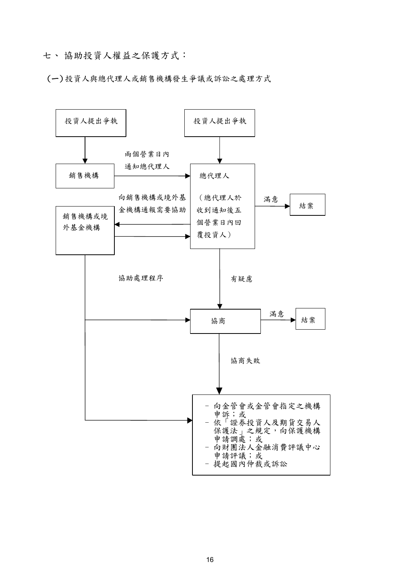七、 協助投資人權益之保護方式:

(一) 投資人與總代理人或銷售機構發生爭議或訴訟之處理方式

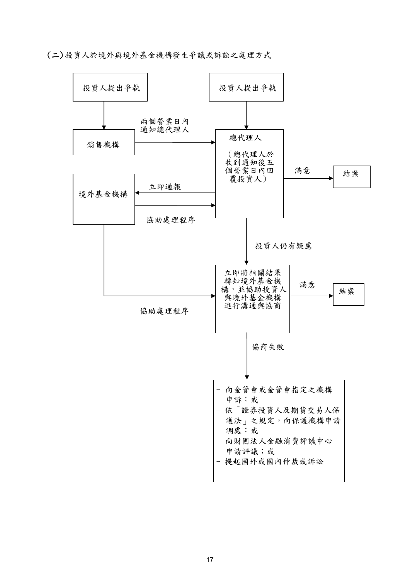(二) 投資人於境外與境外基金機構發生爭議或訴訟之處理方式

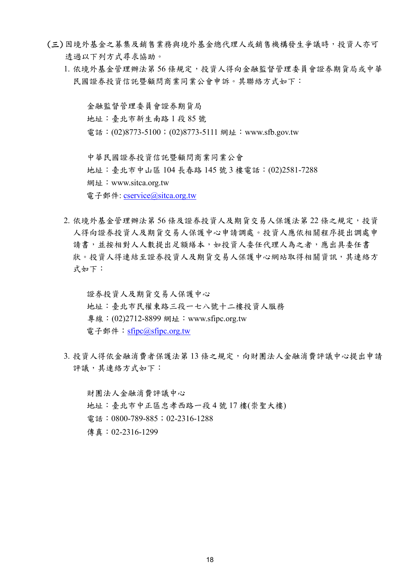- (三) 因境外基金之募集及銷售業務與境外基金總代理人或銷售機構發生爭議時,投資人亦可 透過以下列方式尋求協助。
	- 1. 依境外基金管理辦法第 56 條規定,投資人得向金融監督管理委員會證券期貨局或中華 民國證券投資信託暨顧問商業同業公會申訴。其聯絡方式如下:

金融監督管理委員會證券期貨局 地址:臺北市新生南路 1 段 85 號 電話: (02)8773-5100; (02)8773-5111 網址: www.sfb.gov.tw 中華民國證券投資信託暨顧問商業同業公會 地址:臺北市中山區 104 長春路 145 號 3 樓電話:(02)2581-7288 網址: www.sitca.org.tw

電子郵件: cservice@sitca.org.tw

2. 依境外基金管理辦法第 56 條及證券投資人及期貨交易人保護法第 22 條之規定,投資 人得向證券投資人及期貨交易人保護中心申請調處。投資人應依相關程序提出調處申 請書,並按相對人人數提出足額繕本,如投資人委任代理人為之者,應出具委任書 狀。投資人得連結至證券投資人及期貨交易人保護中心網站取得相關資訊,其連絡方 式如下:

證券投資人及期貨交易人保護中心 地址:臺北市民權東路三段一七八號十二樓投資人服務 專線: (02)2712-8899 網址: www.sfipc.org.tw 電子郵件: sfipc@sfipc.org.tw

3. 投資人得依金融消費者保護法第13 條之規定,向財團法人金融消費評議中心提出申請 評議,其連絡方式如下:

財團法人金融消費評議中心 地址:臺北市中正區忠孝西路一段 4 號 17 樓(崇聖大樓) 電話:0800-789-885;02-2316-1288 傳真:02-2316-1299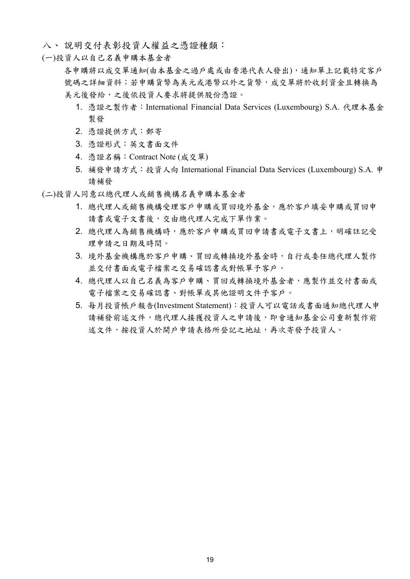- 八、 說明交付表彰投資人權益之憑證種類:
- (一)投資人以自己名義申購本基金者

各申購將以成交單通知(由本基金之過戶處或由香港代表人發出),通知單上記載特定客戶 號碼之詳細資料;若申購貨幣為美元或港幣以外之貨幣,成交單將於收到資金且轉換為 美元後發給,之後依投資人要求將提供股份憑證。

- 1. 憑證之製作者:International Financial Data Services (Luxembourg) S.A. 代理本基金 製發
- 2. 憑證提供方式:郵寄
- 3. 憑證形式:英文書面文件
- 4. 憑證名稱:Contract Note (成交單)
- 5. 補發申請方式:投資人向 International Financial Data Services (Luxembourg) S.A. 申 請補發
- (二)投資人同意以總代理人或銷售機構名義申購本基金者
	- 1. 總代理人或銷售機構受理客戶申購或買回境外基金,應於客戶填妥申購或買回申 請書或電子文書後,交由總代理人完成下單作業。
	- 2. 總代理人為銷售機構時,應於客戶申購或買回申請書或電子文書上,明確註記受 理申請之日期及時間。
	- 3. 境外基金機構應於客戶申購、買回或轉換境外基金時,自行或委任總代理人製作 並交付書面或電子檔案之交易確認書或對帳單予客戶。
	- 4. 總代理人以自己名義為客戶申購、買回或轉換境外基金者,應製作並交付書面或 電子檔案之交易確認書、對帳單或其他證明文件予客戶。
	- 5. 每月投資帳戶報告(Investment Statement):投資人可以電話或書面通知總代理人申 請補發前述文件,總代理人接獲投資人之申請後,即會通知基金公司重新製作前 述文件,按投資人於開戶申請表格所登記之地址,再次寄發予投資人。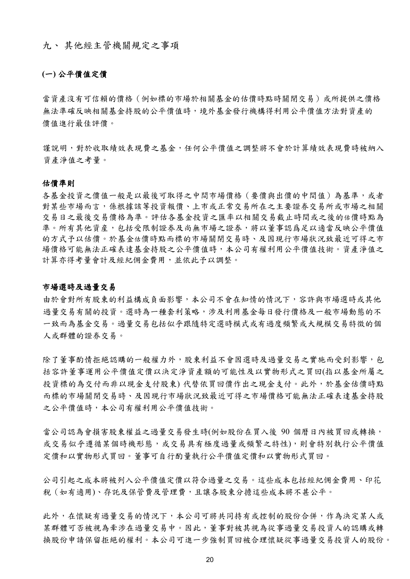九、 其他經主管機關規定之事項

# **(**一**)** 公平價值定價

當資產沒有可信賴的價格(例如標的市場於相關基金的估價時點時關閉交易)或所提供之價格 無法準確反映相關基金持股的公平價值時,境外基金發行機構得利用公平價值方法對資產的 價值進行最佳評價。

謹說明,對於收取績效表現費之基金,任何公平價值之調整將不會於計算績效表現費時被納入 資產淨值之考量。

#### 估價準則

各基金投資之價值一般是以最後可取得之中間市場價格(要價與出價的中間值)為基準,或者 對某些市場而言,係根據該等投資報價、上市或正常交易所在之主要證券交易所或市場之相關 交易日之最後交易價格為準。評估各基金投資之匯率以相關交易截止時間或之後的估價時點為 準。所有其他資産,包括受限制證券及尚無市場之證券,將以董事認爲足以適當反映公平價值 的方式予以估價。於基金估價時點而標的市場關閉交易時、及因現行市場狀況致最近可得之市 場價格可能無法正確表達基金持股之公平價值時,本公司有權利用公平價值技術。資產淨值之 計算亦得考量會計及經紀佣金費用,並依此予以調整。

#### 市場選時及過量交易

由於會對所有股東的利益構成負面影響,本公司不會在知情的情況下,容許與市場選時或其他 過量交易有關的投資。選時為一種套利策略,涉及利用基金每日發行價格及一般市場動態的不 一致而為基金交易。過量交易包括似乎跟隨特定選時模式或有過度頻繁或大規模交易特徵的個 人或群體的證券交易。

除了董事酌情拒絕認購的一般權力外,股東利益不會因選時及過量交易之實施而受到影響,包 括容許董事運用公平價值定價以決定淨資產額的可能性及以實物形式之買回(指以基金所屬之 投資標的為交付而非以現金支付股東) 代替依買回價作出之現金支付。此外,於基金估價時點 而標的市場關閉交易時、及因現行市場狀況致最近可得之市場價格可能無法正確表達基金持股 之公平價值時,本公司有權利用公平價值技術。

當公司認為會損害股東權益之過量交易發生時(例如股份在買入後 90 個曆日內被買回或轉換, 或交易似乎遵循某個時機形態,或交易具有極度過量或頻繁之特性),則會特別執行公平價值 定價和以實物形式買回。董事可自行酌量執行公平價值定價和以實物形式買回。

公司引起之成本將被列入公平價值定價以符合過量之交易。這些成本包括經紀佣金費用、印花 稅(如有適用)、存託及保管費及管理費,且讓各股東分擔這些成本將不甚公平。

此外,在懷疑有過量交易的情況下,本公司可將共同持有或控制的股份合併,作為決定某人或 某群體可否被視為牽涉在過量交易中。因此,董事對被其視為從事過量交易投資人的認購或轉 換股份申請保留拒絕的權利。本公司可進一步強制買回被合理懷疑從事過量交易投資人的股份。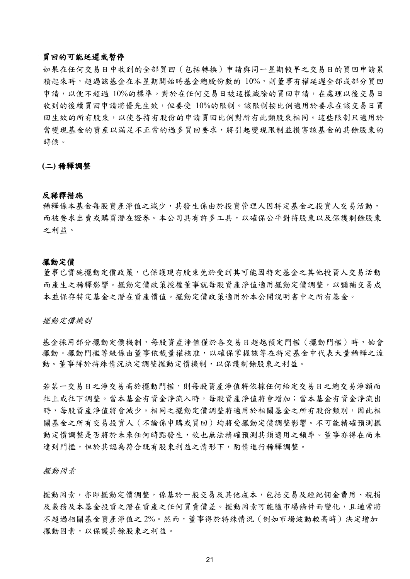# 買回的可能延遲或暫停

如果在任何交易日中收到的全部買回(包括轉換)申請與同一星期較早之交易日的買回申請累 積起來時,超過該基金在本星期開始時基金總股份數的 10%,則董事有權延遲全部或部分買回 申請,以便不超過 10%的標準。對於在任何交易日被這樣減除的買回申請,在處理以後交易日 收到的後續買回申請將優先生效,但要受 10%的限制。該限制按比例適用於要求在該交易日買 回生效的所有股東,以使各持有股份的申請買回比例對所有此類股東相同。這些限制只適用於 當變現基金的資産以滿足不正常的過多買回要求,將引起變現限制並損害該基金的其餘股東的 時候。

**(**二**)** 稀釋調整

#### 反稀釋措施

稀釋係本基金每股資產淨值之減少,其發生係由於投資管理人因特定基金之投資人交易活動, 而被要求出賣或購買潛在證券。本公司具有許多工具,以確保公平對待股東以及保護剩餘股東 之利益。

#### 擺動定價

董事已實施擺動定價政策,已保護現有股東免於受到其可能因特定基金之其他投資人交易活動 而產生之稀釋影響。擺動定價政策授權董事就每股資產淨值適用擺動定價調整,以彌補交易成 本並保存特定基金之潛在資產價值。擺動定價政策適用於本公開說明書中之所有基金。

擺動定價機制

基金採用部分擺動定價機制,每股資產淨值僅於各交易日超越預定門檻(擺動門檻)時,始會 擺動。擺動門檻等級係由董事依裁量權核准,以確保掌握該等在特定基金中代表大量稀釋之流 動。董事得於特殊情況決定調整擺動定價機制,以保護剩餘股東之利益。

若某一交易日之淨交易高於擺動門檻,則每股資產淨值將依據任何給定交易日之總交易淨額而 往上或往下調整。當本基金有資金淨流入時,每股資產淨值將會增加;當本基金有資金淨流出 時,每股資產淨值將會減少。相同之擺動定價調整將適用於相關基金之所有股份類別,因此相 關基金之所有交易投資人(不論係申購或買回)均將受擺動定價調整影響。不可能精確預測擺 動定價調整是否將於未來任何時點發生,故也無法精確預測其須適用之頻率。董事亦得在尚未 達到門檻,但於其認為符合既有股東利益之情形下,酌情進行稀釋調整。

擺動因素

擺動因素,亦即擺動定價調整,係基於一般交易及其他成本,包括交易及經紀佣金費用、稅捐 及義務及本基金投資之潛在資產之任何買賣價差。擺動因素可能隨市場條件而變化,且通常將 不超過相關基金資產淨值之 2%。然而,董事得於特殊情況(例如市場波動較高時)決定增加 擺動因素,以保護其餘股東之利益。